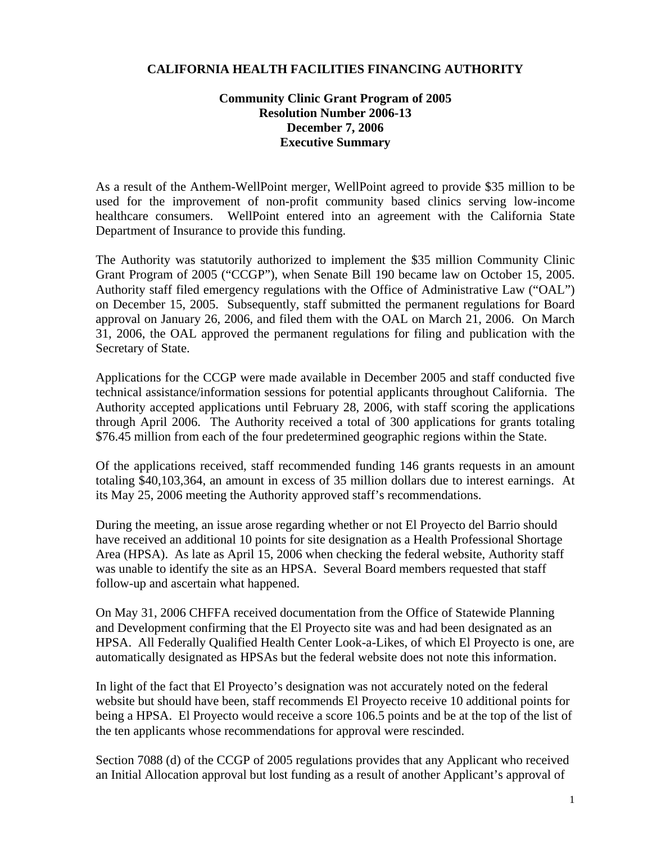## **CALIFORNIA HEALTH FACILITIES FINANCING AUTHORITY**

## **Community Clinic Grant Program of 2005 Resolution Number 2006-13 December 7, 2006 Executive Summary**

As a result of the Anthem-WellPoint merger, WellPoint agreed to provide \$35 million to be used for the improvement of non-profit community based clinics serving low-income healthcare consumers. WellPoint entered into an agreement with the California State Department of Insurance to provide this funding.

The Authority was statutorily authorized to implement the \$35 million Community Clinic Grant Program of 2005 ("CCGP"), when Senate Bill 190 became law on October 15, 2005. Authority staff filed emergency regulations with the Office of Administrative Law ("OAL") on December 15, 2005. Subsequently, staff submitted the permanent regulations for Board approval on January 26, 2006, and filed them with the OAL on March 21, 2006. On March 31, 2006, the OAL approved the permanent regulations for filing and publication with the Secretary of State.

Applications for the CCGP were made available in December 2005 and staff conducted five technical assistance/information sessions for potential applicants throughout California. The Authority accepted applications until February 28, 2006, with staff scoring the applications through April 2006. The Authority received a total of 300 applications for grants totaling \$76.45 million from each of the four predetermined geographic regions within the State.

Of the applications received, staff recommended funding 146 grants requests in an amount totaling \$40,103,364, an amount in excess of 35 million dollars due to interest earnings. At its May 25, 2006 meeting the Authority approved staff's recommendations.

During the meeting, an issue arose regarding whether or not El Proyecto del Barrio should have received an additional 10 points for site designation as a Health Professional Shortage Area (HPSA). As late as April 15, 2006 when checking the federal website, Authority staff was unable to identify the site as an HPSA. Several Board members requested that staff follow-up and ascertain what happened.

On May 31, 2006 CHFFA received documentation from the Office of Statewide Planning and Development confirming that the El Proyecto site was and had been designated as an HPSA. All Federally Qualified Health Center Look-a-Likes, of which El Proyecto is one, are automatically designated as HPSAs but the federal website does not note this information.

In light of the fact that El Proyecto's designation was not accurately noted on the federal website but should have been, staff recommends El Proyecto receive 10 additional points for being a HPSA. El Proyecto would receive a score 106.5 points and be at the top of the list of the ten applicants whose recommendations for approval were rescinded.

Section 7088 (d) of the CCGP of 2005 regulations provides that any Applicant who received an Initial Allocation approval but lost funding as a result of another Applicant's approval of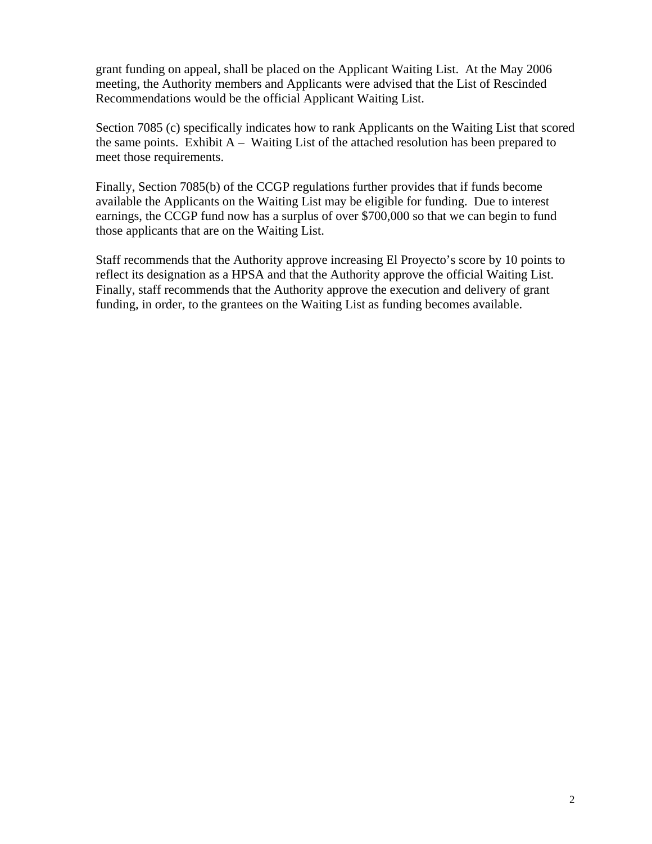grant funding on appeal, shall be placed on the Applicant Waiting List. At the May 2006 meeting, the Authority members and Applicants were advised that the List of Rescinded Recommendations would be the official Applicant Waiting List.

Section 7085 (c) specifically indicates how to rank Applicants on the Waiting List that scored the same points. Exhibit  $A -$  Waiting List of the attached resolution has been prepared to meet those requirements.

Finally, Section 7085(b) of the CCGP regulations further provides that if funds become available the Applicants on the Waiting List may be eligible for funding. Due to interest earnings, the CCGP fund now has a surplus of over \$700,000 so that we can begin to fund those applicants that are on the Waiting List.

Staff recommends that the Authority approve increasing El Proyecto's score by 10 points to reflect its designation as a HPSA and that the Authority approve the official Waiting List. Finally, staff recommends that the Authority approve the execution and delivery of grant funding, in order, to the grantees on the Waiting List as funding becomes available.